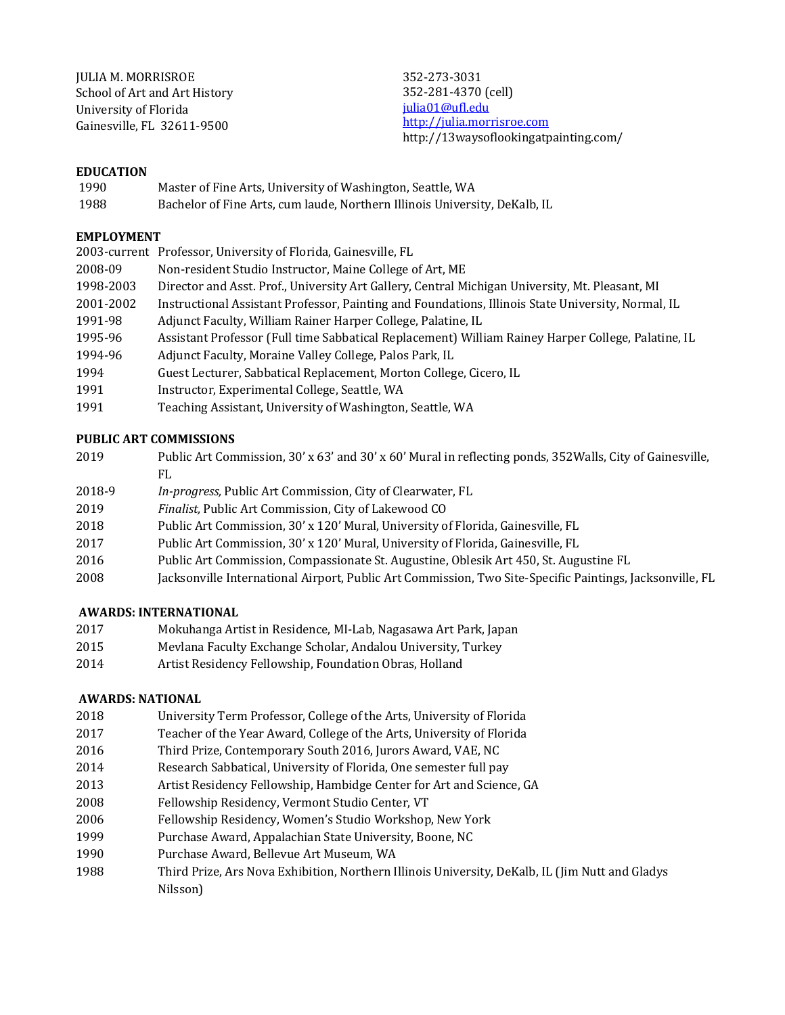JULIA M. MORRISROE School of Art and Art History University of Florida Gainesville, FL 32611-9500

352-273-3031 352-281-4370 (cell) julia01@ufl.edu http://julia.morrisroe.com http://13waysoflookingatpainting.com/

### **EDUCATION**

- 1990 Master of Fine Arts, University of Washington, Seattle, WA
- 1988 Bachelor of Fine Arts, cum laude, Northern Illinois University, DeKalb, IL

### **EMPLOYMENT**

|           | 2003-current Professor, University of Florida, Gainesville, FL                                     |
|-----------|----------------------------------------------------------------------------------------------------|
| 2008-09   | Non-resident Studio Instructor, Maine College of Art, ME                                           |
| 1998-2003 | Director and Asst. Prof., University Art Gallery, Central Michigan University, Mt. Pleasant, MI    |
| 2001-2002 | Instructional Assistant Professor, Painting and Foundations, Illinois State University, Normal, IL |
| 1991-98   | Adjunct Faculty, William Rainer Harper College, Palatine, IL                                       |
| 1995-96   | Assistant Professor (Full time Sabbatical Replacement) William Rainey Harper College, Palatine, IL |
| 1994-96   | Adjunct Faculty, Moraine Valley College, Palos Park, IL                                            |
| 1994      | Guest Lecturer, Sabbatical Replacement, Morton College, Cicero, IL                                 |
| 1991      | Instructor, Experimental College, Seattle, WA                                                      |
| 1991      | Teaching Assistant, University of Washington, Seattle, WA                                          |

## **PUBLIC ART COMMISSIONS**

| 2019 | Public Art Commission, 30' x 63' and 30' x 60' Mural in reflecting ponds, 352 Walls, City of Gainesville, |
|------|-----------------------------------------------------------------------------------------------------------|
|      |                                                                                                           |

- 2018-9 *In-progress*, Public Art Commission, City of Clearwater, FL
- 2019 *Finalist*, Public Art Commission, City of Lakewood CO
- 2018 Public Art Commission, 30' x 120' Mural, University of Florida, Gainesville, FL
- 2017 Public Art Commission, 30' x 120' Mural, University of Florida, Gainesville, FL
- 2016 Public Art Commission, Compassionate St. Augustine, Oblesik Art 450, St. Augustine FL
- 2008 Jacksonville International Airport, Public Art Commission, Two Site-Specific Paintings, Jacksonville, FL

## **AWARDS: INTERNATIONAL**

- 2017 Mokuhanga Artist in Residence, MI-Lab, Nagasawa Art Park, Japan
- 2015 Mevlana Faculty Exchange Scholar, Andalou University, Turkey
- 2014 **Artist Residency Fellowship, Foundation Obras, Holland**

## **AWARDS: NATIONAL**

- 2018 University Term Professor, College of the Arts, University of Florida
- 2017 Teacher of the Year Award, College of the Arts, University of Florida
- 2016 Third Prize, Contemporary South 2016, Jurors Award, VAE, NC
- 2014 Research Sabbatical, University of Florida, One semester full pay
- 2013 **Artist Residency Fellowship, Hambidge Center for Art and Science, GA**
- 2008 Fellowship Residency, Vermont Studio Center, VT
- 2006 Fellowship Residency, Women's Studio Workshop, New York
- 1999 Purchase Award, Appalachian State University, Boone, NC
- 1990 Purchase Award, Bellevue Art Museum, WA
- 1988 Third Prize, Ars Nova Exhibition, Northern Illinois University, DeKalb, IL (Jim Nutt and Gladys Nilsson)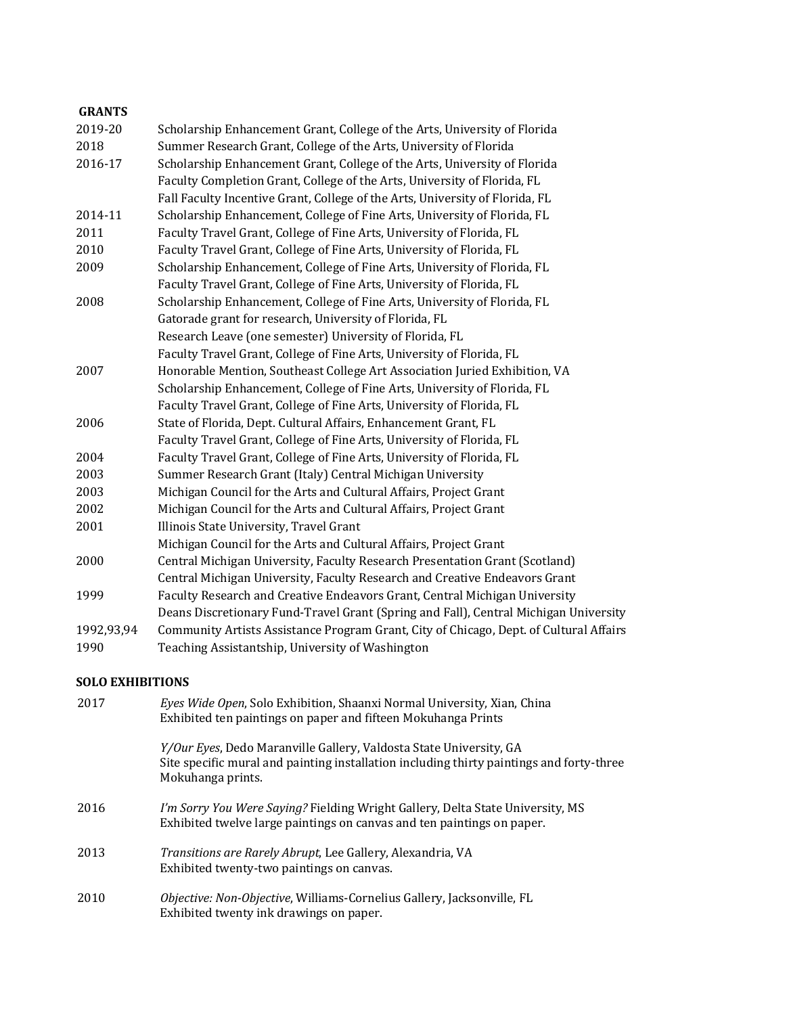# **GRANTS** 2019-20 Scholarship Enhancement Grant, College of the Arts, University of Florida 2018 Summer Research Grant, College of the Arts, University of Florida 2016-17 Scholarship Enhancement Grant, College of the Arts, University of Florida Faculty Completion Grant, College of the Arts, University of Florida, FL Fall Faculty Incentive Grant, College of the Arts, University of Florida, FL 2014-11 Scholarship Enhancement, College of Fine Arts, University of Florida, FL 2011 Faculty Travel Grant, College of Fine Arts, University of Florida, FL 2010 **Faculty Travel Grant, College of Fine Arts, University of Florida, FL** 2009 Scholarship Enhancement, College of Fine Arts, University of Florida, FL Faculty Travel Grant, College of Fine Arts, University of Florida, FL 2008 Scholarship Enhancement, College of Fine Arts, University of Florida, FL Gatorade grant for research, University of Florida, FL Research Leave (one semester) University of Florida, FL Faculty Travel Grant, College of Fine Arts, University of Florida, FL 2007 Honorable Mention, Southeast College Art Association Juried Exhibition, VA Scholarship Enhancement, College of Fine Arts, University of Florida, FL Faculty Travel Grant, College of Fine Arts, University of Florida, FL 2006 State of Florida, Dept. Cultural Affairs, Enhancement Grant, FL Faculty Travel Grant, College of Fine Arts, University of Florida, FL 2004 Faculty Travel Grant, College of Fine Arts, University of Florida, FL 2003 Summer Research Grant (Italy) Central Michigan University 2003 Michigan Council for the Arts and Cultural Affairs, Project Grant 2002 Michigan Council for the Arts and Cultural Affairs, Project Grant 2001 Illinois State University, Travel Grant Michigan Council for the Arts and Cultural Affairs, Project Grant 2000 Central Michigan University, Faculty Research Presentation Grant (Scotland) Central Michigan University, Faculty Research and Creative Endeavors Grant 1999 **Faculty Research and Creative Endeavors Grant, Central Michigan University** Deans Discretionary Fund-Travel Grant (Spring and Fall), Central Michigan University 1992,93,94 Community Artists Assistance Program Grant, City of Chicago, Dept. of Cultural Affairs 1990 Teaching Assistantship, University of Washington

## **SOLO EXHIBITIONS**

| 2017 | Eyes Wide Open, Solo Exhibition, Shaanxi Normal University, Xian, China<br>Exhibited ten paintings on paper and fifteen Mokuhanga Prints                                                    |
|------|---------------------------------------------------------------------------------------------------------------------------------------------------------------------------------------------|
|      | <i>Y/Our Eyes</i> , Dedo Maranville Gallery, Valdosta State University, GA<br>Site specific mural and painting installation including thirty paintings and forty-three<br>Mokuhanga prints. |
| 2016 | I'm Sorry You Were Saying? Fielding Wright Gallery, Delta State University, MS<br>Exhibited twelve large paintings on canvas and ten paintings on paper.                                    |
| 2013 | <i>Transitions are Rarely Abrupt, Lee Gallery, Alexandria, VA</i><br>Exhibited twenty-two paintings on canvas.                                                                              |
| 2010 | <i>Objective: Non-Objective, Williams-Cornelius Gallery, Jacksonville, FL</i><br>Exhibited twenty ink drawings on paper.                                                                    |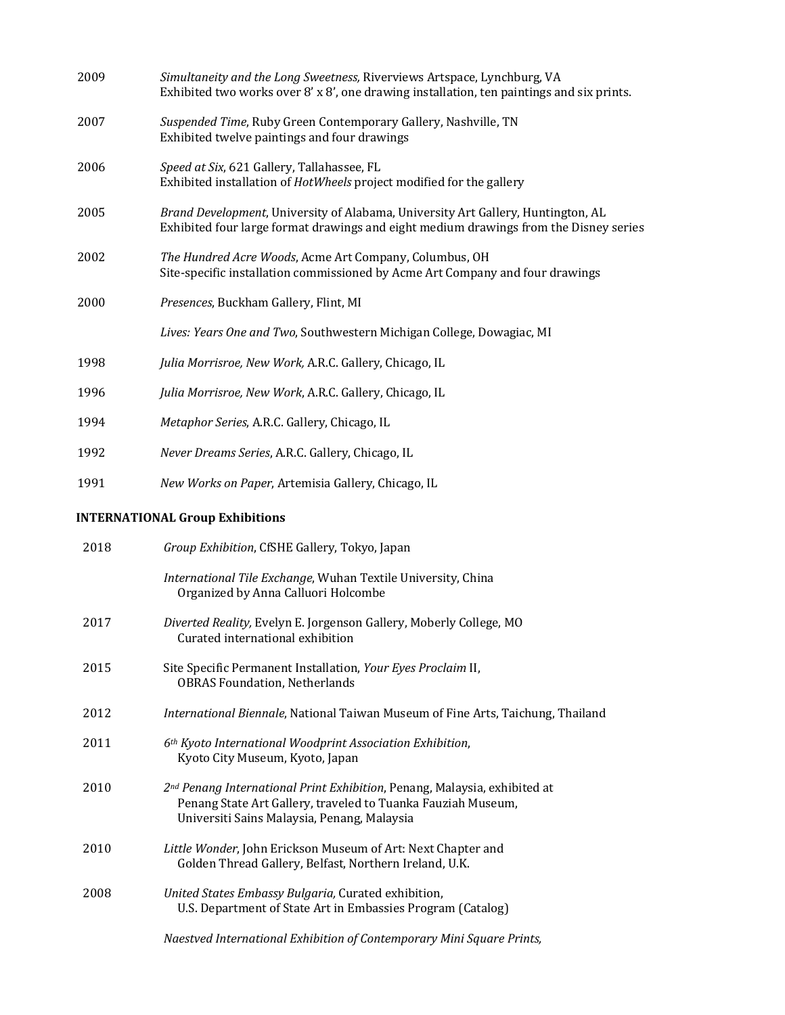| 2009 | Simultaneity and the Long Sweetness, Riverviews Artspace, Lynchburg, VA<br>Exhibited two works over 8' x 8', one drawing installation, ten paintings and six prints.                                 |  |  |
|------|------------------------------------------------------------------------------------------------------------------------------------------------------------------------------------------------------|--|--|
| 2007 | Suspended Time, Ruby Green Contemporary Gallery, Nashville, TN<br>Exhibited twelve paintings and four drawings                                                                                       |  |  |
| 2006 | Speed at Six, 621 Gallery, Tallahassee, FL<br>Exhibited installation of HotWheels project modified for the gallery                                                                                   |  |  |
| 2005 | Brand Development, University of Alabama, University Art Gallery, Huntington, AL<br>Exhibited four large format drawings and eight medium drawings from the Disney series                            |  |  |
| 2002 | The Hundred Acre Woods, Acme Art Company, Columbus, OH<br>Site-specific installation commissioned by Acme Art Company and four drawings                                                              |  |  |
| 2000 | Presences, Buckham Gallery, Flint, MI                                                                                                                                                                |  |  |
|      | Lives: Years One and Two, Southwestern Michigan College, Dowagiac, MI                                                                                                                                |  |  |
| 1998 | Julia Morrisroe, New Work, A.R.C. Gallery, Chicago, IL                                                                                                                                               |  |  |
| 1996 | Julia Morrisroe, New Work, A.R.C. Gallery, Chicago, IL                                                                                                                                               |  |  |
| 1994 | Metaphor Series, A.R.C. Gallery, Chicago, IL                                                                                                                                                         |  |  |
| 1992 | Never Dreams Series, A.R.C. Gallery, Chicago, IL                                                                                                                                                     |  |  |
| 1991 | New Works on Paper, Artemisia Gallery, Chicago, IL                                                                                                                                                   |  |  |
|      | <b>INTERNATIONAL Group Exhibitions</b>                                                                                                                                                               |  |  |
| 2018 | Group Exhibition, CfSHE Gallery, Tokyo, Japan                                                                                                                                                        |  |  |
|      | International Tile Exchange, Wuhan Textile University, China<br>Organized by Anna Calluori Holcombe                                                                                                  |  |  |
| 2017 | Diverted Reality, Evelyn E. Jorgenson Gallery, Moberly College, MO<br>Curated international exhibition                                                                                               |  |  |
| 2015 | Site Specific Permanent Installation, Your Eyes Proclaim II,<br><b>OBRAS Foundation, Netherlands</b>                                                                                                 |  |  |
| 2012 | International Biennale, National Taiwan Museum of Fine Arts, Taichung, Thailand                                                                                                                      |  |  |
| 2011 | 6th Kyoto International Woodprint Association Exhibition,<br>Kyoto City Museum, Kyoto, Japan                                                                                                         |  |  |
| 2010 | 2 <sup>nd</sup> Penang International Print Exhibition, Penang, Malaysia, exhibited at<br>Penang State Art Gallery, traveled to Tuanka Fauziah Museum,<br>Universiti Sains Malaysia, Penang, Malaysia |  |  |
| 2010 | Little Wonder, John Erickson Museum of Art: Next Chapter and<br>Golden Thread Gallery, Belfast, Northern Ireland, U.K.                                                                               |  |  |
|      |                                                                                                                                                                                                      |  |  |

- 2008 *United States Embassy Bulgaria,* Curated exhibition, U.S. Department of State Art in Embassies Program (Catalog)
	- *Naestved International Exhibition of Contemporary Mini Square Prints,*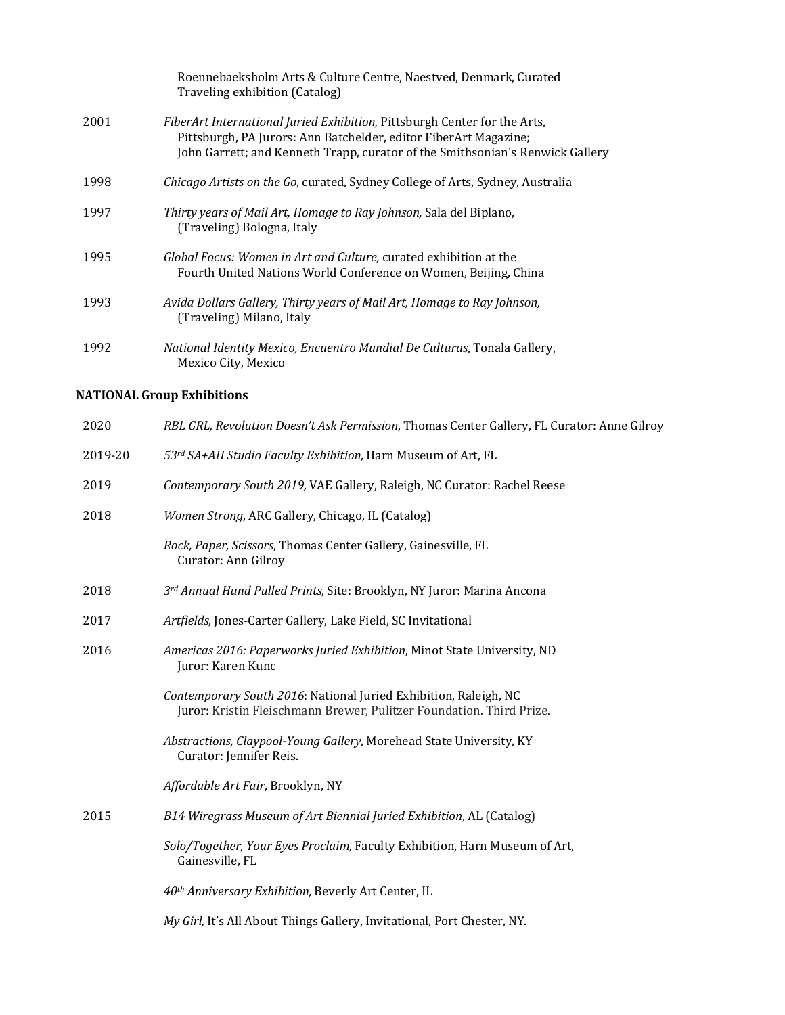|      | Roennebaeksholm Arts & Culture Centre, Naestved, Denmark, Curated<br>Traveling exhibition (Catalog)                                                                                                                                   |
|------|---------------------------------------------------------------------------------------------------------------------------------------------------------------------------------------------------------------------------------------|
| 2001 | <i>FiberArt International Juried Exhibition, Pittsburgh Center for the Arts,</i><br>Pittsburgh, PA Jurors: Ann Batchelder, editor FiberArt Magazine;<br>John Garrett; and Kenneth Trapp, curator of the Smithsonian's Renwick Gallery |
| 1998 | <i>Chicago Artists on the Go, curated, Sydney College of Arts, Sydney, Australia</i>                                                                                                                                                  |
| 1997 | Thirty years of Mail Art, Homage to Ray Johnson, Sala del Biplano,<br>(Traveling) Bologna, Italy                                                                                                                                      |
| 1995 | Global Focus: Women in Art and Culture, curated exhibition at the<br>Fourth United Nations World Conference on Women, Beijing, China                                                                                                  |
| 1993 | Avida Dollars Gallery, Thirty years of Mail Art, Homage to Ray Johnson,<br>(Traveling) Milano, Italy                                                                                                                                  |
| 1992 | National Identity Mexico, Encuentro Mundial De Culturas, Tonala Gallery,<br>Mexico City, Mexico                                                                                                                                       |

# **NATIONAL Group Exhibitions**

| 2020    | RBL GRL, Revolution Doesn't Ask Permission, Thomas Center Gallery, FL Curator: Anne Gilroy                                               |
|---------|------------------------------------------------------------------------------------------------------------------------------------------|
| 2019-20 | 53rd SA+AH Studio Faculty Exhibition, Harn Museum of Art, FL                                                                             |
| 2019    | Contemporary South 2019, VAE Gallery, Raleigh, NC Curator: Rachel Reese                                                                  |
| 2018    | Women Strong, ARC Gallery, Chicago, IL (Catalog)                                                                                         |
|         | Rock, Paper, Scissors, Thomas Center Gallery, Gainesville, FL<br>Curator: Ann Gilroy                                                     |
| 2018    | 3rd Annual Hand Pulled Prints, Site: Brooklyn, NY Juror: Marina Ancona                                                                   |
| 2017    | Artfields, Jones-Carter Gallery, Lake Field, SC Invitational                                                                             |
| 2016    | Americas 2016: Paperworks Juried Exhibition, Minot State University, ND<br>Juror: Karen Kunc                                             |
|         | Contemporary South 2016: National Juried Exhibition, Raleigh, NC<br>Juror: Kristin Fleischmann Brewer, Pulitzer Foundation. Third Prize. |
|         | Abstractions, Claypool-Young Gallery, Morehead State University, KY<br>Curator: Jennifer Reis.                                           |
|         | Affordable Art Fair, Brooklyn, NY                                                                                                        |
| 2015    | B14 Wiregrass Museum of Art Biennial Juried Exhibition, AL (Catalog)                                                                     |
|         | Solo/Together, Your Eyes Proclaim, Faculty Exhibition, Harn Museum of Art,<br>Gainesville, FL                                            |
|         | 40th Anniversary Exhibition, Beverly Art Center, IL                                                                                      |
|         | My Girl, It's All About Things Gallery, Invitational, Port Chester, NY.                                                                  |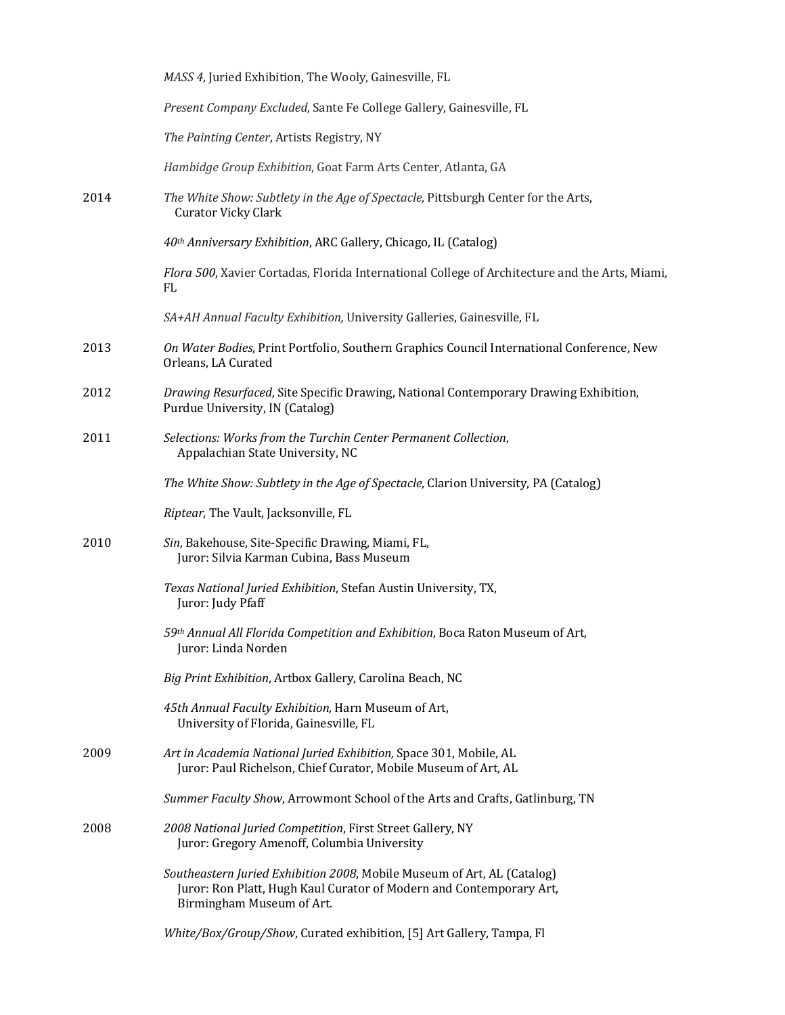|      | MASS 4, Juried Exhibition, The Wooly, Gainesville, FL                                                                                                                       |
|------|-----------------------------------------------------------------------------------------------------------------------------------------------------------------------------|
|      | Present Company Excluded, Sante Fe College Gallery, Gainesville, FL                                                                                                         |
|      | The Painting Center, Artists Registry, NY                                                                                                                                   |
|      | Hambidge Group Exhibition, Goat Farm Arts Center, Atlanta, GA                                                                                                               |
| 2014 | The White Show: Subtlety in the Age of Spectacle, Pittsburgh Center for the Arts,<br><b>Curator Vicky Clark</b>                                                             |
|      | 40th Anniversary Exhibition, ARC Gallery, Chicago, IL (Catalog)                                                                                                             |
|      | Flora 500, Xavier Cortadas, Florida International College of Architecture and the Arts, Miami,<br>FL                                                                        |
|      | SA+AH Annual Faculty Exhibition, University Galleries, Gainesville, FL                                                                                                      |
| 2013 | On Water Bodies, Print Portfolio, Southern Graphics Council International Conference, New<br>Orleans, LA Curated                                                            |
| 2012 | Drawing Resurfaced, Site Specific Drawing, National Contemporary Drawing Exhibition,<br>Purdue University, IN (Catalog)                                                     |
| 2011 | Selections: Works from the Turchin Center Permanent Collection,<br>Appalachian State University, NC                                                                         |
|      | The White Show: Subtlety in the Age of Spectacle, Clarion University, PA (Catalog)                                                                                          |
|      | Riptear, The Vault, Jacksonville, FL                                                                                                                                        |
| 2010 | Sin, Bakehouse, Site-Specific Drawing, Miami, FL,<br>Juror: Silvia Karman Cubina, Bass Museum                                                                               |
|      | Texas National Juried Exhibition, Stefan Austin University, TX,<br>Juror: Judy Pfaff                                                                                        |
|      | 59th Annual All Florida Competition and Exhibition, Boca Raton Museum of Art,<br>Juror: Linda Norden                                                                        |
|      | Big Print Exhibition, Artbox Gallery, Carolina Beach, NC                                                                                                                    |
|      | 45th Annual Faculty Exhibition, Harn Museum of Art,<br>University of Florida, Gainesville, FL                                                                               |
| 2009 | Art in Academia National Juried Exhibition, Space 301, Mobile, AL<br>Juror: Paul Richelson, Chief Curator, Mobile Museum of Art, AL                                         |
|      | Summer Faculty Show, Arrowmont School of the Arts and Crafts, Gatlinburg, TN                                                                                                |
| 2008 | 2008 National Juried Competition, First Street Gallery, NY<br>Juror: Gregory Amenoff, Columbia University                                                                   |
|      | Southeastern Juried Exhibition 2008, Mobile Museum of Art, AL (Catalog)<br>Juror: Ron Platt, Hugh Kaul Curator of Modern and Contemporary Art,<br>Birmingham Museum of Art. |
|      | White/Box/Group/Show, Curated exhibition, [5] Art Gallery, Tampa, Fl                                                                                                        |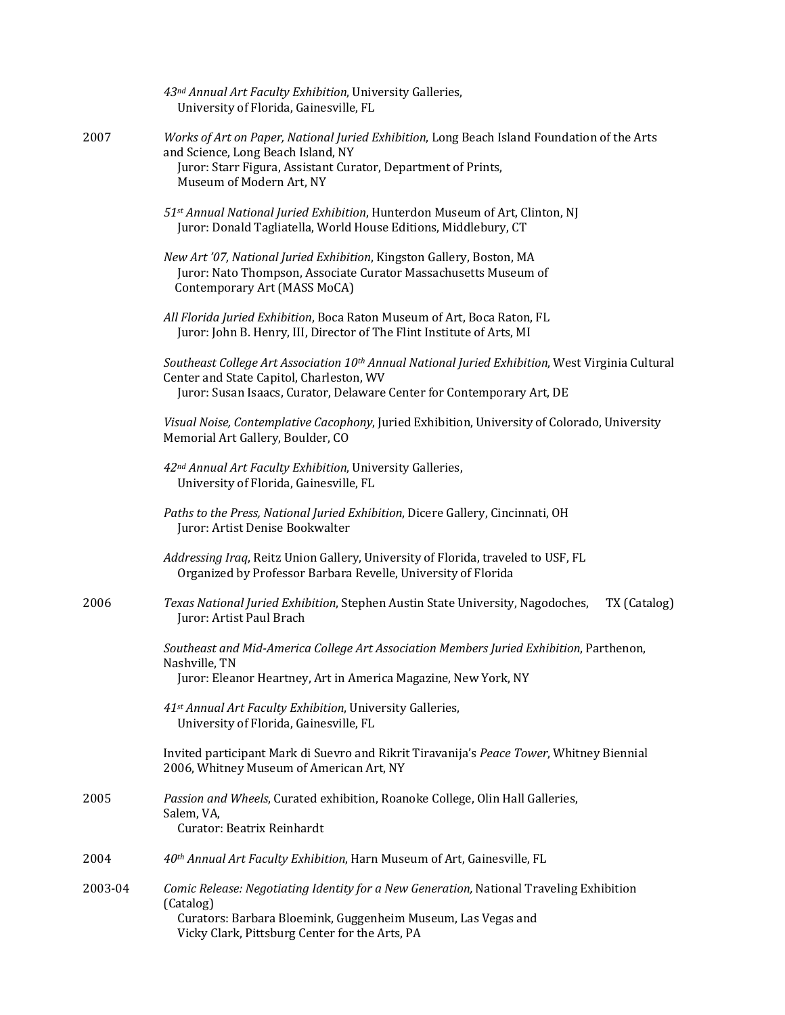|         | 43nd Annual Art Faculty Exhibition, University Galleries,<br>University of Florida, Gainesville, FL                                                                                                                                |
|---------|------------------------------------------------------------------------------------------------------------------------------------------------------------------------------------------------------------------------------------|
| 2007    | Works of Art on Paper, National Juried Exhibition, Long Beach Island Foundation of the Arts<br>and Science, Long Beach Island, NY<br>Juror: Starr Figura, Assistant Curator, Department of Prints,<br>Museum of Modern Art, NY     |
|         | 51st Annual National Juried Exhibition, Hunterdon Museum of Art, Clinton, NJ<br>Juror: Donald Tagliatella, World House Editions, Middlebury, CT                                                                                    |
|         | New Art '07, National Juried Exhibition, Kingston Gallery, Boston, MA<br>Juror: Nato Thompson, Associate Curator Massachusetts Museum of<br>Contemporary Art (MASS MoCA)                                                           |
|         | All Florida Juried Exhibition, Boca Raton Museum of Art, Boca Raton, FL<br>Juror: John B. Henry, III, Director of The Flint Institute of Arts, MI                                                                                  |
|         | Southeast College Art Association 10 <sup>th</sup> Annual National Juried Exhibition, West Virginia Cultural<br>Center and State Capitol, Charleston, WV<br>Juror: Susan Isaacs, Curator, Delaware Center for Contemporary Art, DE |
|         | Visual Noise, Contemplative Cacophony, Juried Exhibition, University of Colorado, University<br>Memorial Art Gallery, Boulder, CO                                                                                                  |
|         | 42 <sup>nd</sup> Annual Art Faculty Exhibition, University Galleries,<br>University of Florida, Gainesville, FL                                                                                                                    |
|         | Paths to the Press, National Juried Exhibition, Dicere Gallery, Cincinnati, OH<br>Juror: Artist Denise Bookwalter                                                                                                                  |
|         | Addressing Iraq, Reitz Union Gallery, University of Florida, traveled to USF, FL<br>Organized by Professor Barbara Revelle, University of Florida                                                                                  |
| 2006    | Texas National Juried Exhibition, Stephen Austin State University, Nagodoches,<br>TX (Catalog)<br>Juror: Artist Paul Brach                                                                                                         |
|         | Southeast and Mid-America College Art Association Members Juried Exhibition, Parthenon,<br>Nashville, TN<br>Juror: Eleanor Heartney, Art in America Magazine, New York, NY                                                         |
|         | 41st Annual Art Faculty Exhibition, University Galleries,<br>University of Florida, Gainesville, FL                                                                                                                                |
|         | Invited participant Mark di Suevro and Rikrit Tiravanija's Peace Tower, Whitney Biennial<br>2006, Whitney Museum of American Art, NY                                                                                               |
| 2005    | Passion and Wheels, Curated exhibition, Roanoke College, Olin Hall Galleries,<br>Salem, VA,<br>Curator: Beatrix Reinhardt                                                                                                          |
| 2004    | 40th Annual Art Faculty Exhibition, Harn Museum of Art, Gainesville, FL                                                                                                                                                            |
| 2003-04 | Comic Release: Negotiating Identity for a New Generation, National Traveling Exhibition<br>(Catalog)<br>Curators: Barbara Bloemink, Guggenheim Museum, Las Vegas and<br>Vicky Clark, Pittsburg Center for the Arts, PA             |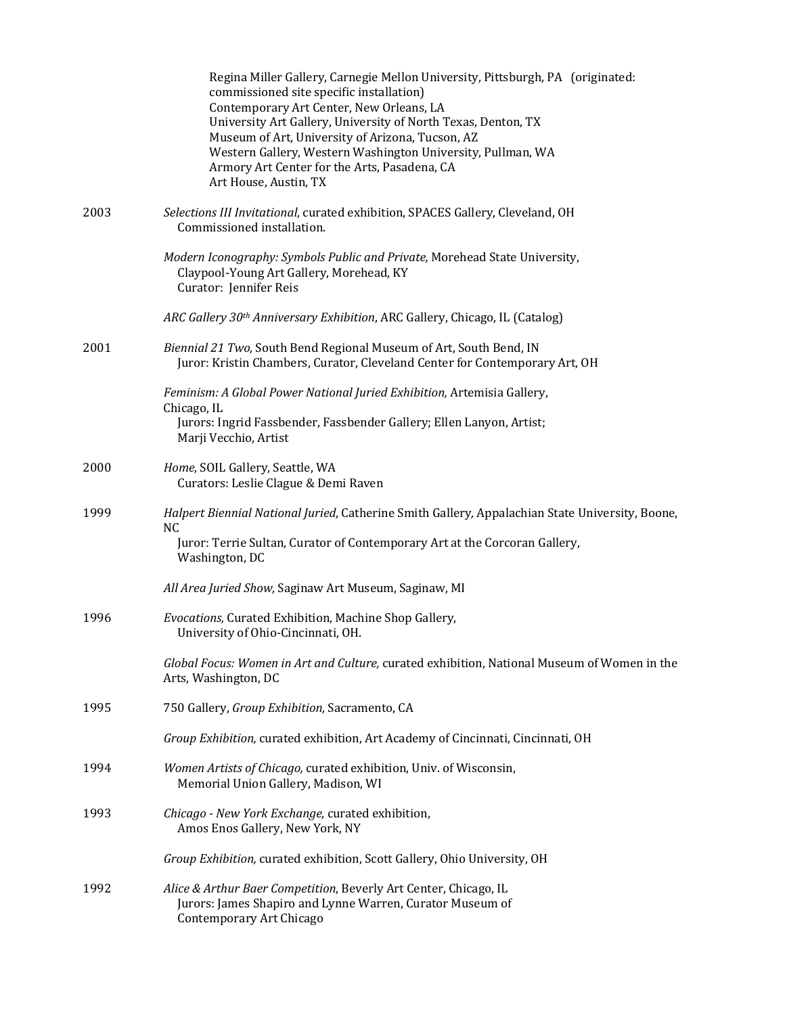|      | Regina Miller Gallery, Carnegie Mellon University, Pittsburgh, PA (originated:<br>commissioned site specific installation)<br>Contemporary Art Center, New Orleans, LA<br>University Art Gallery, University of North Texas, Denton, TX<br>Museum of Art, University of Arizona, Tucson, AZ<br>Western Gallery, Western Washington University, Pullman, WA<br>Armory Art Center for the Arts, Pasadena, CA<br>Art House, Austin, TX |
|------|-------------------------------------------------------------------------------------------------------------------------------------------------------------------------------------------------------------------------------------------------------------------------------------------------------------------------------------------------------------------------------------------------------------------------------------|
| 2003 | Selections III Invitational, curated exhibition, SPACES Gallery, Cleveland, OH<br>Commissioned installation.                                                                                                                                                                                                                                                                                                                        |
|      | Modern Iconography: Symbols Public and Private, Morehead State University,<br>Claypool-Young Art Gallery, Morehead, KY<br>Curator: Jennifer Reis                                                                                                                                                                                                                                                                                    |
|      | ARC Gallery 30th Anniversary Exhibition, ARC Gallery, Chicago, IL (Catalog)                                                                                                                                                                                                                                                                                                                                                         |
| 2001 | Biennial 21 Two, South Bend Regional Museum of Art, South Bend, IN<br>Juror: Kristin Chambers, Curator, Cleveland Center for Contemporary Art, OH                                                                                                                                                                                                                                                                                   |
|      | Feminism: A Global Power National Juried Exhibition, Artemisia Gallery,                                                                                                                                                                                                                                                                                                                                                             |
|      | Chicago, IL<br>Jurors: Ingrid Fassbender, Fassbender Gallery; Ellen Lanyon, Artist;<br>Marji Vecchio, Artist                                                                                                                                                                                                                                                                                                                        |
| 2000 | Home, SOIL Gallery, Seattle, WA<br>Curators: Leslie Clague & Demi Raven                                                                                                                                                                                                                                                                                                                                                             |
| 1999 | Halpert Biennial National Juried, Catherine Smith Gallery, Appalachian State University, Boone,<br>N <sub>C</sub>                                                                                                                                                                                                                                                                                                                   |
|      | Juror: Terrie Sultan, Curator of Contemporary Art at the Corcoran Gallery,<br>Washington, DC                                                                                                                                                                                                                                                                                                                                        |
|      | All Area Juried Show, Saginaw Art Museum, Saginaw, MI                                                                                                                                                                                                                                                                                                                                                                               |
| 1996 | Evocations, Curated Exhibition, Machine Shop Gallery,<br>University of Ohio-Cincinnati, OH.                                                                                                                                                                                                                                                                                                                                         |
|      | Global Focus: Women in Art and Culture, curated exhibition, National Museum of Women in the<br>Arts, Washington, DC                                                                                                                                                                                                                                                                                                                 |
| 1995 | 750 Gallery, Group Exhibition, Sacramento, CA                                                                                                                                                                                                                                                                                                                                                                                       |
|      | Group Exhibition, curated exhibition, Art Academy of Cincinnati, Cincinnati, OH                                                                                                                                                                                                                                                                                                                                                     |
| 1994 | Women Artists of Chicago, curated exhibition, Univ. of Wisconsin,<br>Memorial Union Gallery, Madison, WI                                                                                                                                                                                                                                                                                                                            |
| 1993 | Chicago - New York Exchange, curated exhibition,<br>Amos Enos Gallery, New York, NY                                                                                                                                                                                                                                                                                                                                                 |
|      | Group Exhibition, curated exhibition, Scott Gallery, Ohio University, OH                                                                                                                                                                                                                                                                                                                                                            |
| 1992 | Alice & Arthur Baer Competition, Beverly Art Center, Chicago, IL<br>Jurors: James Shapiro and Lynne Warren, Curator Museum of<br>Contemporary Art Chicago                                                                                                                                                                                                                                                                           |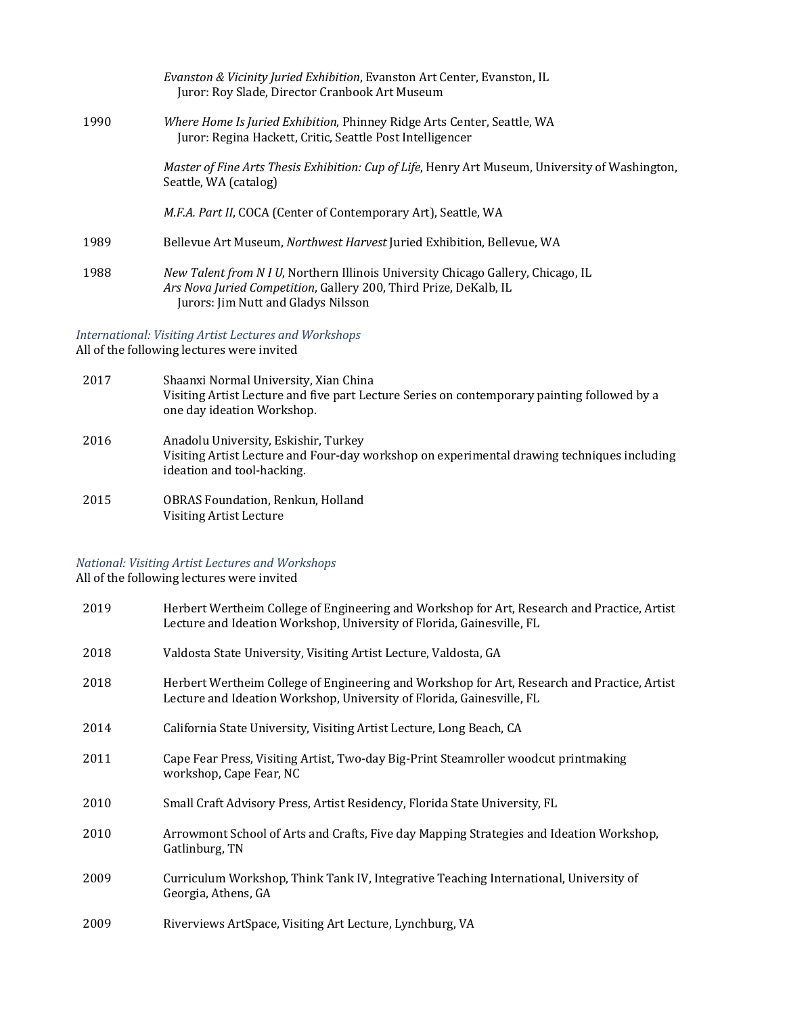|      | Evanston & Vicinity Juried Exhibition, Evanston Art Center, Evanston, IL<br>Juror: Roy Slade, Director Cranbook Art Museum                                                                          |
|------|-----------------------------------------------------------------------------------------------------------------------------------------------------------------------------------------------------|
| 1990 | <i>Where Home Is Juried Exhibition, Phinney Ridge Arts Center, Seattle, WA</i><br>Juror: Regina Hackett, Critic, Seattle Post Intelligencer                                                         |
|      | Master of Fine Arts Thesis Exhibition: Cup of Life, Henry Art Museum, University of Washington,<br>Seattle, WA (catalog)                                                                            |
|      | <i>M.F.A. Part II, COCA (Center of Contemporary Art), Seattle, WA</i>                                                                                                                               |
| 1989 | Bellevue Art Museum, <i>Northwest Harvest</i> Juried Exhibition, Bellevue, WA                                                                                                                       |
| 1988 | <i>New Talent from N I U,</i> Northern Illinois University Chicago Gallery, Chicago, IL<br>Ars Nova Juried Competition, Gallery 200, Third Prize, DeKalb, IL<br>Jurors: Jim Nutt and Gladys Nilsson |

*International: Visiting Artist Lectures and Workshops*

All of the following lectures were invited

- 2017 Shaanxi Normal University, Xian China Visiting Artist Lecture and five part Lecture Series on contemporary painting followed by a one day ideation Workshop. 2016 Anadolu University, Eskishir, Turkey Visiting Artist Lecture and Four-day workshop on experimental drawing techniques including ideation and tool-hacking.
- 2015 OBRAS Foundation, Renkun, Holland Visiting Artist Lecture

# *National: Visiting Artist Lectures and Workshops*

All of the following lectures were invited

| 2019 | Herbert Wertheim College of Engineering and Workshop for Art, Research and Practice, Artist<br>Lecture and Ideation Workshop, University of Florida, Gainesville, FL |
|------|----------------------------------------------------------------------------------------------------------------------------------------------------------------------|
| 2018 | Valdosta State University, Visiting Artist Lecture, Valdosta, GA                                                                                                     |
| 2018 | Herbert Wertheim College of Engineering and Workshop for Art, Research and Practice, Artist<br>Lecture and Ideation Workshop, University of Florida, Gainesville, FL |
| 2014 | California State University, Visiting Artist Lecture, Long Beach, CA                                                                                                 |
| 2011 | Cape Fear Press, Visiting Artist, Two-day Big-Print Steamroller woodcut printmaking<br>workshop, Cape Fear, NC                                                       |
| 2010 | Small Craft Advisory Press, Artist Residency, Florida State University, FL                                                                                           |
| 2010 | Arrowmont School of Arts and Crafts, Five day Mapping Strategies and Ideation Workshop,<br>Gatlinburg, TN                                                            |
| 2009 | Curriculum Workshop, Think Tank IV, Integrative Teaching International, University of<br>Georgia, Athens, GA                                                         |
| 2009 | Riverviews ArtSpace, Visiting Art Lecture, Lynchburg, VA                                                                                                             |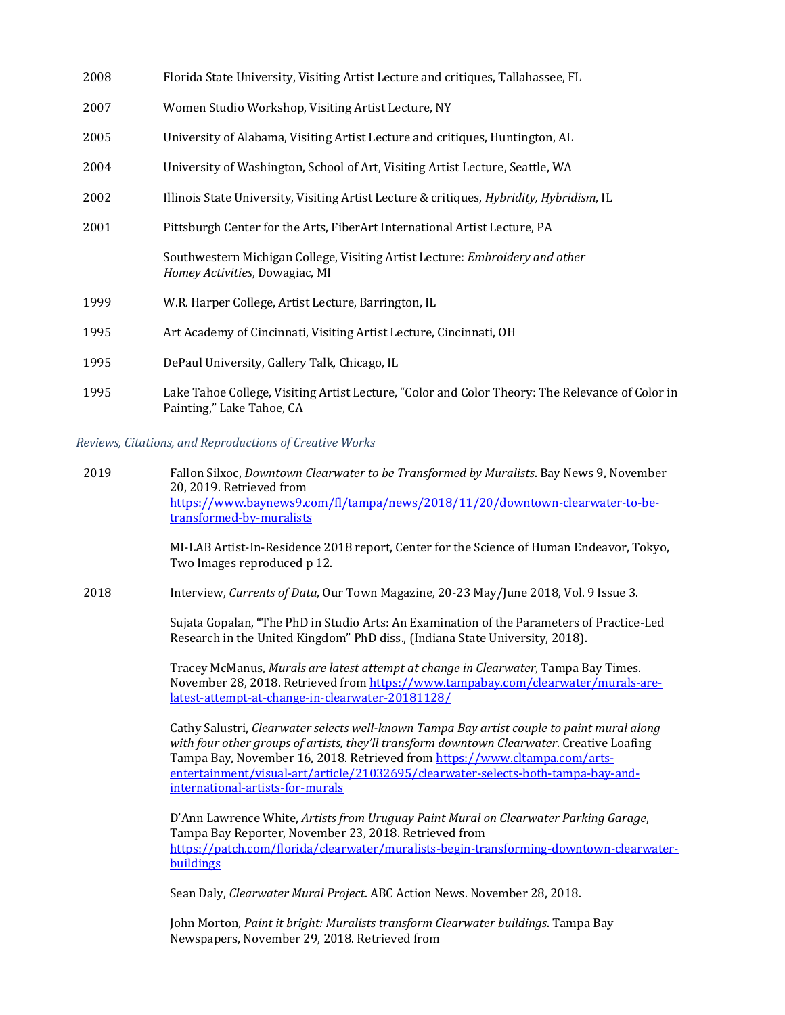| 2008 | Florida State University, Visiting Artist Lecture and critiques, Tallahassee, FL                                             |
|------|------------------------------------------------------------------------------------------------------------------------------|
| 2007 | Women Studio Workshop, Visiting Artist Lecture, NY                                                                           |
| 2005 | University of Alabama, Visiting Artist Lecture and critiques, Huntington, AL                                                 |
| 2004 | University of Washington, School of Art, Visiting Artist Lecture, Seattle, WA                                                |
| 2002 | Illinois State University, Visiting Artist Lecture & critiques, <i>Hybridity, Hybridism</i> , IL                             |
| 2001 | Pittsburgh Center for the Arts, FiberArt International Artist Lecture, PA                                                    |
|      | Southwestern Michigan College, Visiting Artist Lecture: Embroidery and other<br>Homey Activities, Dowagiac, MI               |
| 1999 | W.R. Harper College, Artist Lecture, Barrington, IL                                                                          |
| 1995 | Art Academy of Cincinnati, Visiting Artist Lecture, Cincinnati, OH                                                           |
| 1995 | DePaul University, Gallery Talk, Chicago, IL                                                                                 |
| 1995 | Lake Tahoe College, Visiting Artist Lecture, "Color and Color Theory: The Relevance of Color in<br>Painting," Lake Tahoe, CA |

*Reviews, Citations, and Reproductions of Creative Works*

2019 Fallon Silxoc, *Downtown Clearwater to be Transformed by Muralists*. Bay News 9, November 20, 2019. Retrieved from https://www.baynews9.com/fl/tampa/news/2018/11/20/downtown-clearwater-to-betransformed-by-muralists

> MI-LAB Artist-In-Residence 2018 report, Center for the Science of Human Endeavor, Tokyo, Two Images reproduced p 12.

2018 Interview, *Currents of Data*, Our Town Magazine, 20-23 May/June 2018, Vol. 9 Issue 3.

Sujata Gopalan, "The PhD in Studio Arts: An Examination of the Parameters of Practice-Led Research in the United Kingdom" PhD diss., (Indiana State University, 2018).

Tracey McManus, Murals are latest attempt at change in Clearwater, Tampa Bay Times. November 28, 2018. Retrieved from https://www.tampabay.com/clearwater/murals-arelatest-attempt-at-change-in-clearwater-20181128/

Cathy Salustri, *Clearwater selects well-known Tampa Bay artist couple to paint mural along* with four other groups of artists, they'll transform downtown Clearwater. Creative Loafing Tampa Bay, November 16, 2018. Retrieved from https://www.cltampa.com/artsentertainment/visual-art/article/21032695/clearwater-selects-both-tampa-bay-andinternational-artists-for-murals

D'Ann Lawrence White, Artists from Uruguay Paint Mural on Clearwater Parking Garage, Tampa Bay Reporter, November 23, 2018. Retrieved from https://patch.com/florida/clearwater/muralists-begin-transforming-downtown-clearwaterbuildings

Sean Daly, *Clearwater Mural Project*. ABC Action News. November 28, 2018.

John Morton, *Paint it bright: Muralists transform Clearwater buildings*. Tampa Bay Newspapers, November 29, 2018. Retrieved from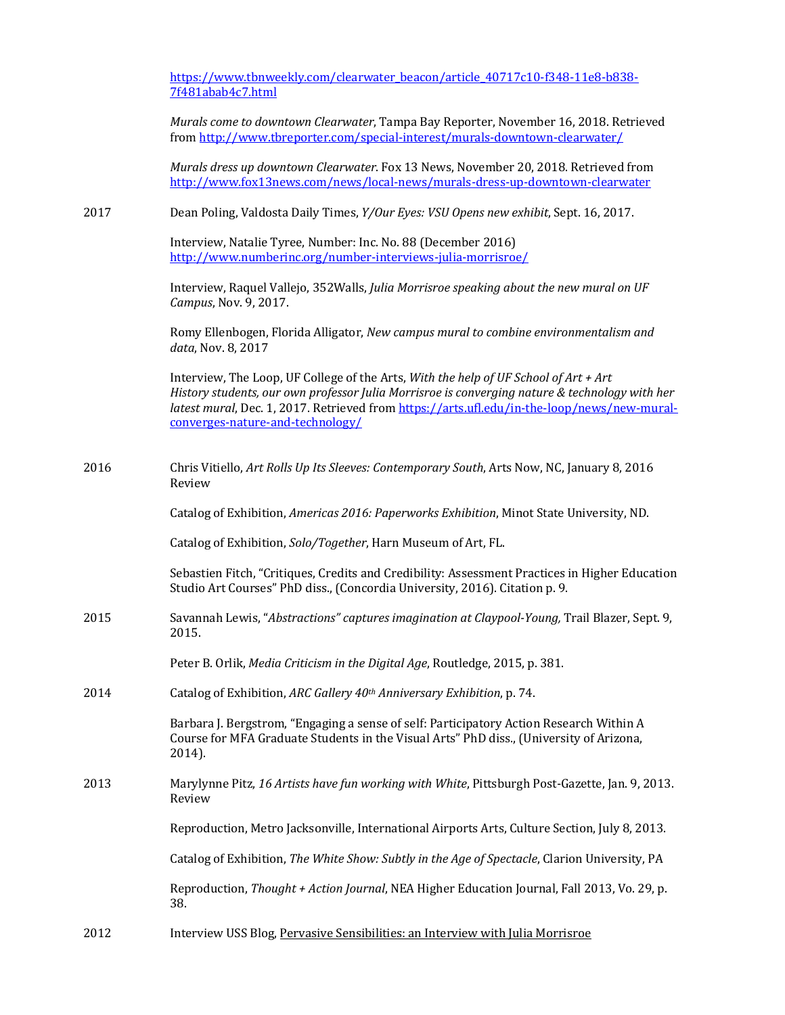|      | https://www.tbnweekly.com/clearwater_beacon/article_40717c10-f348-11e8-b838-<br>7f481abab4c7.html                                                                                                                                                                                                                         |
|------|---------------------------------------------------------------------------------------------------------------------------------------------------------------------------------------------------------------------------------------------------------------------------------------------------------------------------|
|      | Murals come to downtown Clearwater, Tampa Bay Reporter, November 16, 2018. Retrieved<br>from http://www.tbreporter.com/special-interest/murals-downtown-clearwater/                                                                                                                                                       |
|      | Murals dress up downtown Clearwater. Fox 13 News, November 20, 2018. Retrieved from<br>http://www.fox13news.com/news/local-news/murals-dress-up-downtown-clearwater                                                                                                                                                       |
| 2017 | Dean Poling, Valdosta Daily Times, Y/Our Eyes: VSU Opens new exhibit, Sept. 16, 2017.                                                                                                                                                                                                                                     |
|      | Interview, Natalie Tyree, Number: Inc. No. 88 (December 2016)<br>http://www.numberinc.org/number-interviews-julia-morrisroe/                                                                                                                                                                                              |
|      | Interview, Raquel Vallejo, 352Walls, Julia Morrisroe speaking about the new mural on UF<br>Campus, Nov. 9, 2017.                                                                                                                                                                                                          |
|      | Romy Ellenbogen, Florida Alligator, New campus mural to combine environmentalism and<br>data, Nov. 8, 2017                                                                                                                                                                                                                |
|      | Interview, The Loop, UF College of the Arts, With the help of UF School of Art + Art<br>History students, our own professor Julia Morrisroe is converging nature & technology with her<br>latest mural, Dec. 1, 2017. Retrieved from https://arts.ufl.edu/in-the-loop/news/new-mural-<br>converges-nature-and-technology/ |
| 2016 | Chris Vitiello, Art Rolls Up Its Sleeves: Contemporary South, Arts Now, NC, January 8, 2016<br>Review                                                                                                                                                                                                                     |
|      | Catalog of Exhibition, Americas 2016: Paperworks Exhibition, Minot State University, ND.                                                                                                                                                                                                                                  |
|      | Catalog of Exhibition, Solo/Together, Harn Museum of Art, FL.                                                                                                                                                                                                                                                             |
|      | Sebastien Fitch, "Critiques, Credits and Credibility: Assessment Practices in Higher Education<br>Studio Art Courses" PhD diss., (Concordia University, 2016). Citation p. 9.                                                                                                                                             |
| 2015 | Savannah Lewis, "Abstractions" captures imagination at Claypool-Young, Trail Blazer, Sept. 9,<br>2015.                                                                                                                                                                                                                    |
|      | Peter B. Orlik, Media Criticism in the Digital Age, Routledge, 2015, p. 381.                                                                                                                                                                                                                                              |
| 2014 | Catalog of Exhibition, ARC Gallery 40th Anniversary Exhibition, p. 74.                                                                                                                                                                                                                                                    |
|      | Barbara J. Bergstrom, "Engaging a sense of self: Participatory Action Research Within A<br>Course for MFA Graduate Students in the Visual Arts" PhD diss., (University of Arizona,<br>2014).                                                                                                                              |
| 2013 | Marylynne Pitz, 16 Artists have fun working with White, Pittsburgh Post-Gazette, Jan. 9, 2013.<br>Review                                                                                                                                                                                                                  |
|      | Reproduction, Metro Jacksonville, International Airports Arts, Culture Section, July 8, 2013.                                                                                                                                                                                                                             |
|      | Catalog of Exhibition, The White Show: Subtly in the Age of Spectacle, Clarion University, PA                                                                                                                                                                                                                             |
|      | Reproduction, Thought + Action Journal, NEA Higher Education Journal, Fall 2013, Vo. 29, p.<br>38.                                                                                                                                                                                                                        |
|      |                                                                                                                                                                                                                                                                                                                           |

2012 Interview USS Blog, Pervasive Sensibilities: an Interview with Julia Morrisroe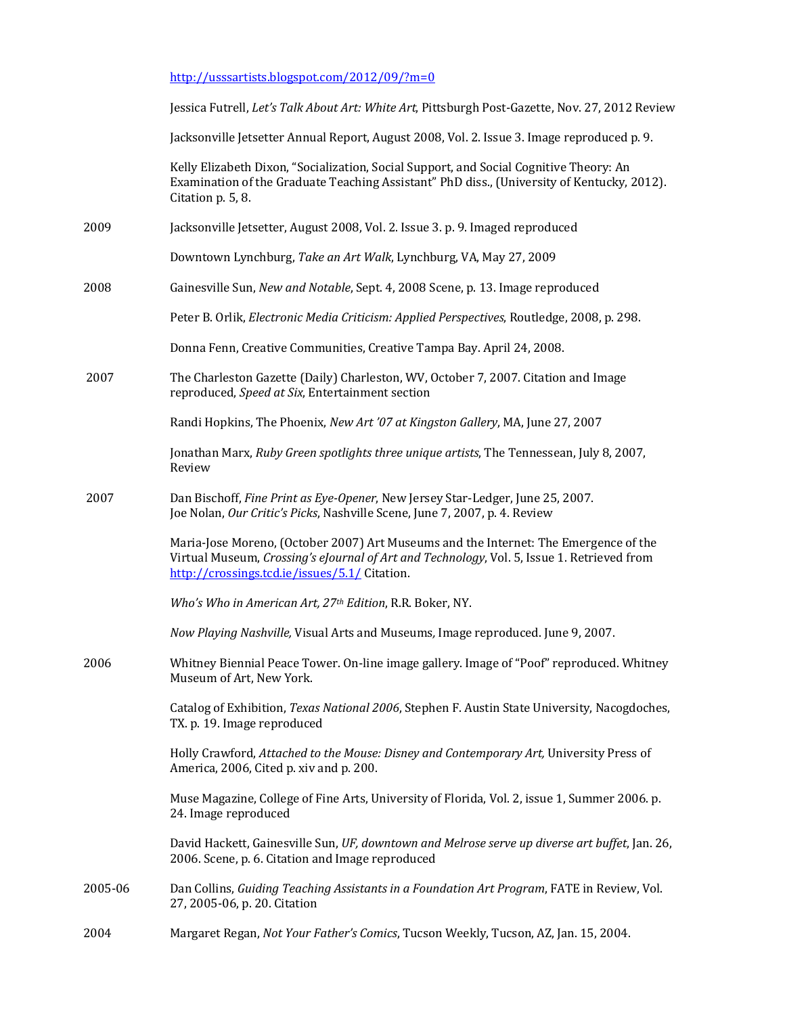http://usssartists.blogspot.com/2012/09/?m=0

|         | Jessica Futrell, Let's Talk About Art: White Art, Pittsburgh Post-Gazette, Nov. 27, 2012 Review                                                                                                                                     |
|---------|-------------------------------------------------------------------------------------------------------------------------------------------------------------------------------------------------------------------------------------|
|         | Jacksonville Jetsetter Annual Report, August 2008, Vol. 2. Issue 3. Image reproduced p. 9.                                                                                                                                          |
|         | Kelly Elizabeth Dixon, "Socialization, Social Support, and Social Cognitive Theory: An<br>Examination of the Graduate Teaching Assistant" PhD diss., (University of Kentucky, 2012).<br>Citation p. 5, 8.                           |
| 2009    | Jacksonville Jetsetter, August 2008, Vol. 2. Issue 3. p. 9. Imaged reproduced                                                                                                                                                       |
|         | Downtown Lynchburg, Take an Art Walk, Lynchburg, VA, May 27, 2009                                                                                                                                                                   |
| 2008    | Gainesville Sun, New and Notable, Sept. 4, 2008 Scene, p. 13. Image reproduced                                                                                                                                                      |
|         | Peter B. Orlik, Electronic Media Criticism: Applied Perspectives, Routledge, 2008, p. 298.                                                                                                                                          |
|         | Donna Fenn, Creative Communities, Creative Tampa Bay. April 24, 2008.                                                                                                                                                               |
| 2007    | The Charleston Gazette (Daily) Charleston, WV, October 7, 2007. Citation and Image<br>reproduced, Speed at Six, Entertainment section                                                                                               |
|         | Randi Hopkins, The Phoenix, New Art '07 at Kingston Gallery, MA, June 27, 2007                                                                                                                                                      |
|         | Jonathan Marx, Ruby Green spotlights three unique artists, The Tennessean, July 8, 2007,<br>Review                                                                                                                                  |
| 2007    | Dan Bischoff, Fine Print as Eye-Opener, New Jersey Star-Ledger, June 25, 2007.<br>Joe Nolan, Our Critic's Picks, Nashville Scene, June 7, 2007, p. 4. Review                                                                        |
|         | Maria-Jose Moreno, (October 2007) Art Museums and the Internet: The Emergence of the<br>Virtual Museum, Crossing's eJournal of Art and Technology, Vol. 5, Issue 1. Retrieved from<br>http://crossings.tcd.ie/issues/5.1/ Citation. |
|         | Who's Who in American Art, 27th Edition, R.R. Boker, NY.                                                                                                                                                                            |
|         | Now Playing Nashville, Visual Arts and Museums, Image reproduced. June 9, 2007.                                                                                                                                                     |
| 2006    | Whitney Biennial Peace Tower. On-line image gallery. Image of "Poof" reproduced. Whitney<br>Museum of Art, New York.                                                                                                                |
|         | Catalog of Exhibition, Texas National 2006, Stephen F. Austin State University, Nacogdoches,<br>TX. p. 19. Image reproduced                                                                                                         |
|         | Holly Crawford, Attached to the Mouse: Disney and Contemporary Art, University Press of<br>America, 2006, Cited p. xiv and p. 200.                                                                                                  |
|         | Muse Magazine, College of Fine Arts, University of Florida, Vol. 2, issue 1, Summer 2006. p.<br>24. Image reproduced                                                                                                                |
|         | David Hackett, Gainesville Sun, UF, downtown and Melrose serve up diverse art buffet, Jan. 26,<br>2006. Scene, p. 6. Citation and Image reproduced                                                                                  |
| 2005-06 | Dan Collins, Guiding Teaching Assistants in a Foundation Art Program, FATE in Review, Vol.<br>27, 2005-06, p. 20. Citation                                                                                                          |
| 2004    | Margaret Regan, Not Your Father's Comics, Tucson Weekly, Tucson, AZ, Jan. 15, 2004.                                                                                                                                                 |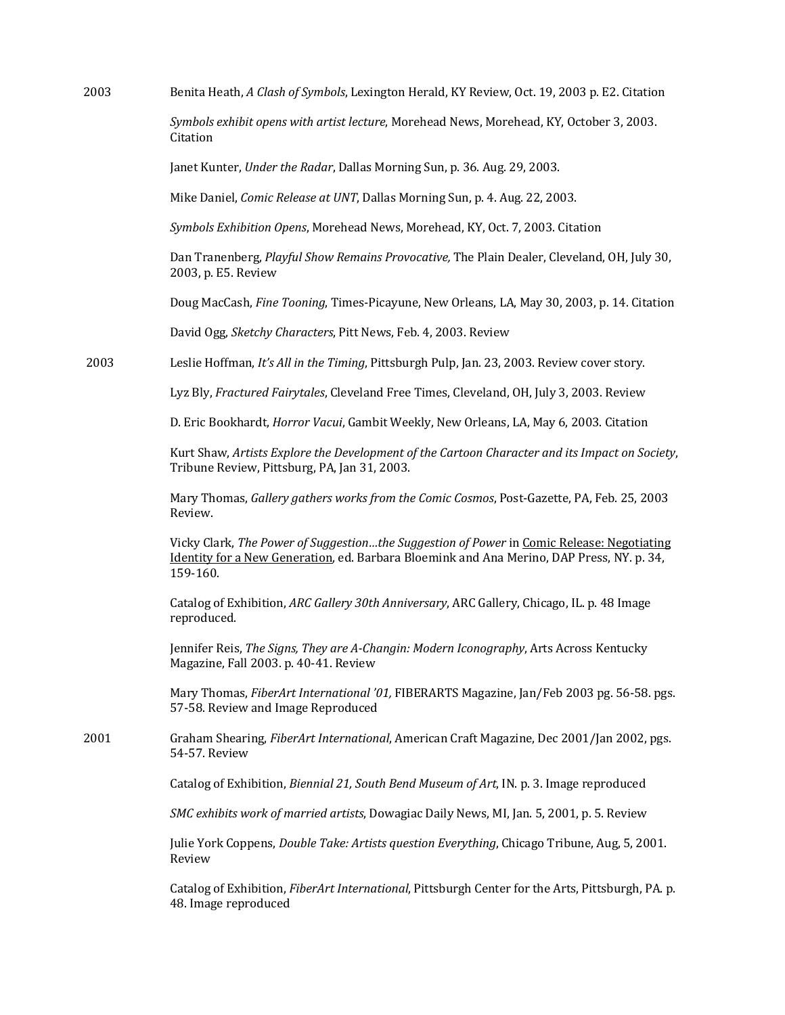2003 Benita Heath, *A Clash of Symbols*, Lexington Herald, KY Review, Oct. 19, 2003 p. E2. Citation

Symbols exhibit opens with artist lecture, Morehead News, Morehead, KY, October 3, 2003. Citation

Janet Kunter, *Under the Radar*, Dallas Morning Sun, p. 36. Aug. 29, 2003.

Mike Daniel, *Comic Release at UNT*, Dallas Morning Sun, p. 4. Aug. 22, 2003.

Symbols Exhibition Opens, Morehead News, Morehead, KY, Oct. 7, 2003. Citation

Dan Tranenberg, *Playful Show Remains Provocative*, The Plain Dealer, Cleveland, OH, July 30, 2003, p. E5. Review

Doug MacCash, *Fine Tooning*, Times-Picayune, New Orleans, LA, May 30, 2003, p. 14. Citation

David Ogg, *Sketchy Characters*, Pitt News, Feb. 4, 2003. Review

2003 Leslie Hoffman, *It's All in the Timing*, Pittsburgh Pulp, Jan. 23, 2003. Review cover story.

Lyz Bly, *Fractured Fairytales*, Cleveland Free Times, Cleveland, OH, July 3, 2003. Review

D. Eric Bookhardt, *Horror Vacui*, Gambit Weekly, New Orleans, LA, May 6, 2003. Citation

Kurt Shaw, *Artists Explore the Development of the Cartoon Character and its Impact on Society*, Tribune Review, Pittsburg, PA, Jan 31, 2003.

Mary Thomas, *Gallery gathers works from the Comic Cosmos*, Post-Gazette, PA, Feb. 25, 2003 Review.

Vicky Clark, *The Power of Suggestion...the Suggestion of Power* in *Comic Release: Negotiating* Identity for a New Generation, ed. Barbara Bloemink and Ana Merino, DAP Press, NY. p. 34, 159-160. 

Catalog of Exhibition, *ARC Gallery 30th Anniversary*, ARC Gallery, Chicago, IL. p. 48 Image reproduced.

Jennifer Reis, The Signs, They are A-Changin: Modern Iconography, Arts Across Kentucky Magazine, Fall 2003. p. 40-41. Review

Mary Thomas, *FiberArt International '01*, FIBERARTS Magazine, Jan/Feb 2003 pg. 56-58. pgs. 57-58. Review and Image Reproduced

2001 Graham Shearing, *FiberArt International*, American Craft Magazine, Dec 2001/Jan 2002, pgs. 54-57. Review

Catalog of Exhibition, *Biennial 21, South Bend Museum of Art*, IN. p. 3. Image reproduced

*SMC* exhibits work of married artists, Dowagiac Daily News, MI, Jan. 5, 2001, p. 5. Review

Julie York Coppens, *Double Take: Artists question Everything*, Chicago Tribune, Aug, 5, 2001. Review

Catalog of Exhibition, *FiberArt International*, Pittsburgh Center for the Arts, Pittsburgh, PA. p. 48. Image reproduced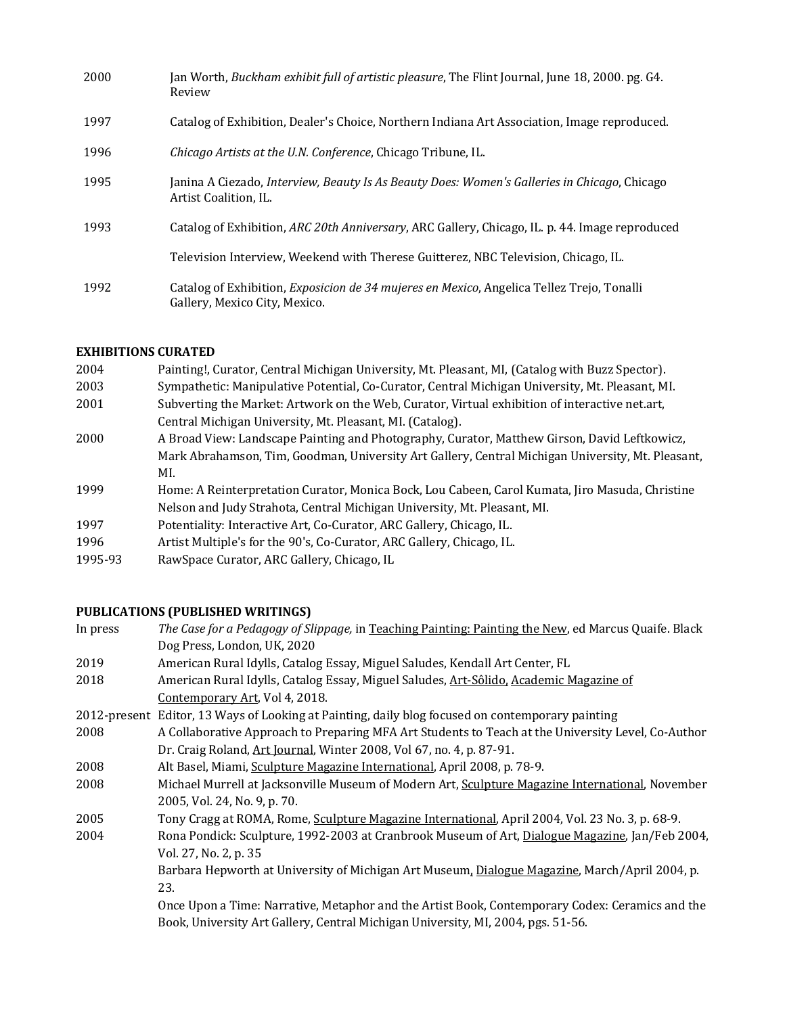| 2000 | Jan Worth, Buckham exhibit full of artistic pleasure, The Flint Journal, June 18, 2000. pg. G4.<br>Review                          |
|------|------------------------------------------------------------------------------------------------------------------------------------|
| 1997 | Catalog of Exhibition, Dealer's Choice, Northern Indiana Art Association, Image reproduced.                                        |
| 1996 | <i>Chicago Artists at the U.N. Conference, Chicago Tribune, IL.</i>                                                                |
| 1995 | Janina A Ciezado, Interview, Beauty Is As Beauty Does: Women's Galleries in Chicago, Chicago<br>Artist Coalition, IL.              |
| 1993 | Catalog of Exhibition, ARC 20th Anniversary, ARC Gallery, Chicago, IL. p. 44. Image reproduced                                     |
|      | Television Interview, Weekend with Therese Guitterez, NBC Television, Chicago, IL.                                                 |
| 1992 | Catalog of Exhibition, <i>Exposicion de 34 mujeres en Mexico</i> , Angelica Tellez Trejo, Tonalli<br>Gallery, Mexico City, Mexico. |

# **EXHIBITIONS CURATED**

| 2004    | Painting!, Curator, Central Michigan University, Mt. Pleasant, MI, (Catalog with Buzz Spector).   |
|---------|---------------------------------------------------------------------------------------------------|
| 2003    | Sympathetic: Manipulative Potential, Co-Curator, Central Michigan University, Mt. Pleasant, MI.   |
| 2001    | Subverting the Market: Artwork on the Web, Curator, Virtual exhibition of interactive net.art,    |
|         | Central Michigan University, Mt. Pleasant, MI. (Catalog).                                         |
| 2000    | A Broad View: Landscape Painting and Photography, Curator, Matthew Girson, David Leftkowicz,      |
|         | Mark Abrahamson, Tim, Goodman, University Art Gallery, Central Michigan University, Mt. Pleasant, |
|         | MI.                                                                                               |
| 1999    | Home: A Reinterpretation Curator, Monica Bock, Lou Cabeen, Carol Kumata, Jiro Masuda, Christine   |
|         | Nelson and Judy Strahota, Central Michigan University, Mt. Pleasant, MI.                          |
| 1997    | Potentiality: Interactive Art, Co-Curator, ARC Gallery, Chicago, IL.                              |
| 1996    | Artist Multiple's for the 90's, Co-Curator, ARC Gallery, Chicago, IL.                             |
| 100F.02 | DavrCuago Curator, ADC Collowy Chicago, H.                                                        |

1995-93 RawSpace Curator, ARC Gallery, Chicago, IL

# **PUBLICATIONS (PUBLISHED WRITINGS)**

| The Case for a Pedagogy of Slippage, in Teaching Painting: Painting the New, ed Marcus Quaife. Black |
|------------------------------------------------------------------------------------------------------|
| Dog Press, London, UK, 2020                                                                          |
| American Rural Idylls, Catalog Essay, Miguel Saludes, Kendall Art Center, FL                         |
| American Rural Idylls, Catalog Essay, Miguel Saludes, Art-Sôlido, Academic Magazine of               |
| Contemporary Art, Vol 4, 2018.                                                                       |
| 2012-present Editor, 13 Ways of Looking at Painting, daily blog focused on contemporary painting     |
| A Collaborative Approach to Preparing MFA Art Students to Teach at the University Level, Co-Author   |
| Dr. Craig Roland, Art Journal, Winter 2008, Vol 67, no. 4, p. 87-91.                                 |
| Alt Basel, Miami, Sculpture Magazine International, April 2008, p. 78-9.                             |
| Michael Murrell at Jacksonville Museum of Modern Art, Sculpture Magazine International, November     |
| 2005, Vol. 24, No. 9, p. 70.                                                                         |
| Tony Cragg at ROMA, Rome, Sculpture Magazine International, April 2004, Vol. 23 No. 3, p. 68-9.      |
| Rona Pondick: Sculpture, 1992-2003 at Cranbrook Museum of Art, Dialogue Magazine, Jan/Feb 2004,      |
| Vol. 27, No. 2, p. 35                                                                                |
| Barbara Hepworth at University of Michigan Art Museum, Dialogue Magazine, March/April 2004, p.       |
| 23.                                                                                                  |
| Once Upon a Time: Narrative, Metaphor and the Artist Book, Contemporary Codex: Ceramics and the      |
| Book, University Art Gallery, Central Michigan University, MI, 2004, pgs. 51-56.                     |
|                                                                                                      |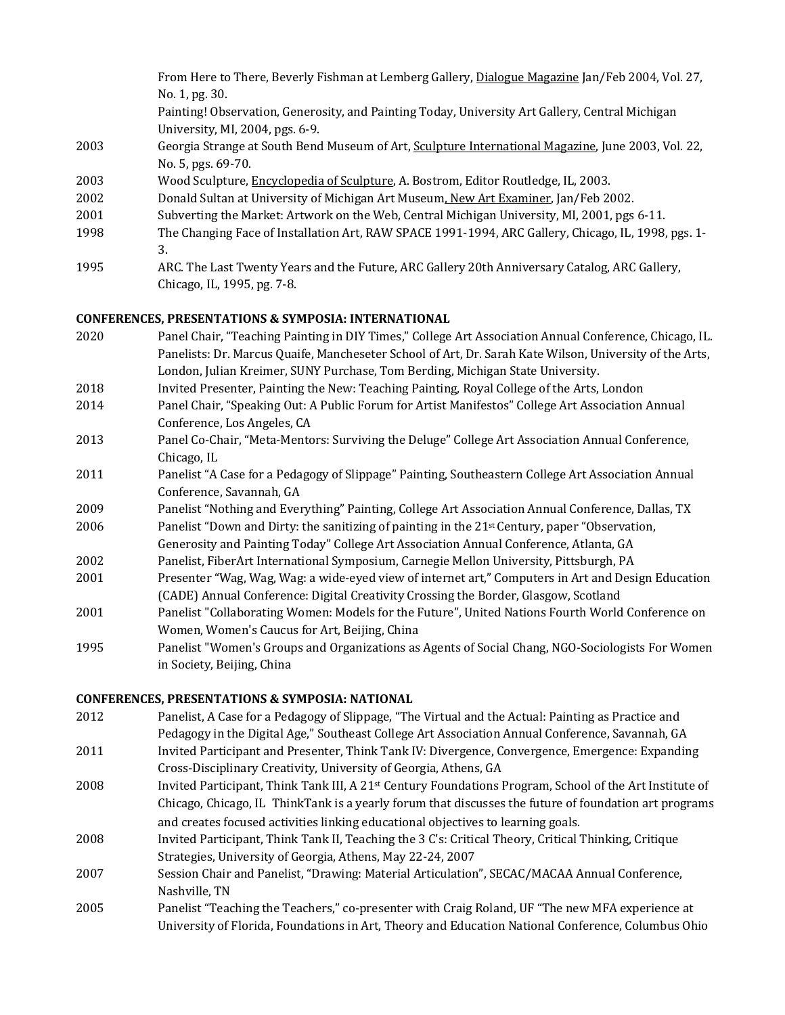|      | From Here to There, Beverly Fishman at Lemberg Gallery, Dialogue Magazine Jan/Feb 2004, Vol. 27,    |
|------|-----------------------------------------------------------------------------------------------------|
|      | No. 1, pg. 30.                                                                                      |
|      | Painting! Observation, Generosity, and Painting Today, University Art Gallery, Central Michigan     |
|      | University, MI, 2004, pgs. 6-9.                                                                     |
| 2003 | Georgia Strange at South Bend Museum of Art, Sculpture International Magazine, June 2003, Vol. 22,  |
|      | No. 5, pgs. 69-70.                                                                                  |
| 2003 | Wood Sculpture, Encyclopedia of Sculpture, A. Bostrom, Editor Routledge, IL, 2003.                  |
| 2002 | Donald Sultan at University of Michigan Art Museum, New Art Examiner, Jan/Feb 2002.                 |
| 2001 | Subverting the Market: Artwork on the Web, Central Michigan University, MI, 2001, pgs 6-11.         |
| 1998 | The Changing Face of Installation Art, RAW SPACE 1991-1994, ARC Gallery, Chicago, IL, 1998, pgs. 1- |
|      | 3.                                                                                                  |
| 1995 | ARC. The Last Twenty Years and the Future, ARC Gallery 20th Anniversary Catalog, ARC Gallery,       |
|      | Chicago, IL, 1995, pg. 7-8.                                                                         |
|      |                                                                                                     |

#### **CONFERENCES, PRESENTATIONS & SYMPOSIA: INTERNATIONAL**

- 2020 Panel Chair, "Teaching Painting in DIY Times," College Art Association Annual Conference, Chicago, IL. Panelists: Dr. Marcus Quaife, Mancheseter School of Art, Dr. Sarah Kate Wilson, University of the Arts, London, Julian Kreimer, SUNY Purchase, Tom Berding, Michigan State University.
- 2018 Invited Presenter, Painting the New: Teaching Painting, Royal College of the Arts, London
- 2014 Panel Chair, "Speaking Out: A Public Forum for Artist Manifestos" College Art Association Annual Conference, Los Angeles, CA
- 2013 Panel Co-Chair, "Meta-Mentors: Surviving the Deluge" College Art Association Annual Conference, Chicago, IL
- 2011 Panelist "A Case for a Pedagogy of Slippage" Painting, Southeastern College Art Association Annual Conference, Savannah, GA
- 2009 Panelist "Nothing and Everything" Painting, College Art Association Annual Conference, Dallas, TX
- 2006 Panelist "Down and Dirty: the sanitizing of painting in the  $21<sup>st</sup>$  Century, paper "Observation,
- Generosity and Painting Today" College Art Association Annual Conference, Atlanta, GA 2002 Panelist, FiberArt International Symposium, Carnegie Mellon University, Pittsburgh, PA
- 2001 Presenter "Wag, Wag, Wag: a wide-eyed view of internet art," Computers in Art and Design Education (CADE) Annual Conference: Digital Creativity Crossing the Border, Glasgow, Scotland
- 2001 Panelist "Collaborating Women: Models for the Future", United Nations Fourth World Conference on Women, Women's Caucus for Art, Beijing, China
- 1995 Panelist "Women's Groups and Organizations as Agents of Social Chang, NGO-Sociologists For Women in Society, Beijing, China

#### **CONFERENCES, PRESENTATIONS & SYMPOSIA: NATIONAL**

- 2012 Panelist, A Case for a Pedagogy of Slippage, "The Virtual and the Actual: Painting as Practice and Pedagogy in the Digital Age," Southeast College Art Association Annual Conference, Savannah, GA
- 2011 Invited Participant and Presenter, Think Tank IV: Divergence, Convergence, Emergence: Expanding Cross-Disciplinary Creativity, University of Georgia, Athens, GA
- 2008 Invited Participant, Think Tank III, A 21<sup>st</sup> Century Foundations Program, School of the Art Institute of Chicago, Chicago, IL ThinkTank is a yearly forum that discusses the future of foundation art programs and creates focused activities linking educational objectives to learning goals.
- 2008 Invited Participant, Think Tank II, Teaching the 3 C's: Critical Theory, Critical Thinking, Critique Strategies, University of Georgia, Athens, May 22-24, 2007
- 2007 Session Chair and Panelist, "Drawing: Material Articulation", SECAC/MACAA Annual Conference, Nashville, TN
- 2005 Panelist "Teaching the Teachers," co-presenter with Craig Roland, UF "The new MFA experience at University of Florida, Foundations in Art, Theory and Education National Conference, Columbus Ohio